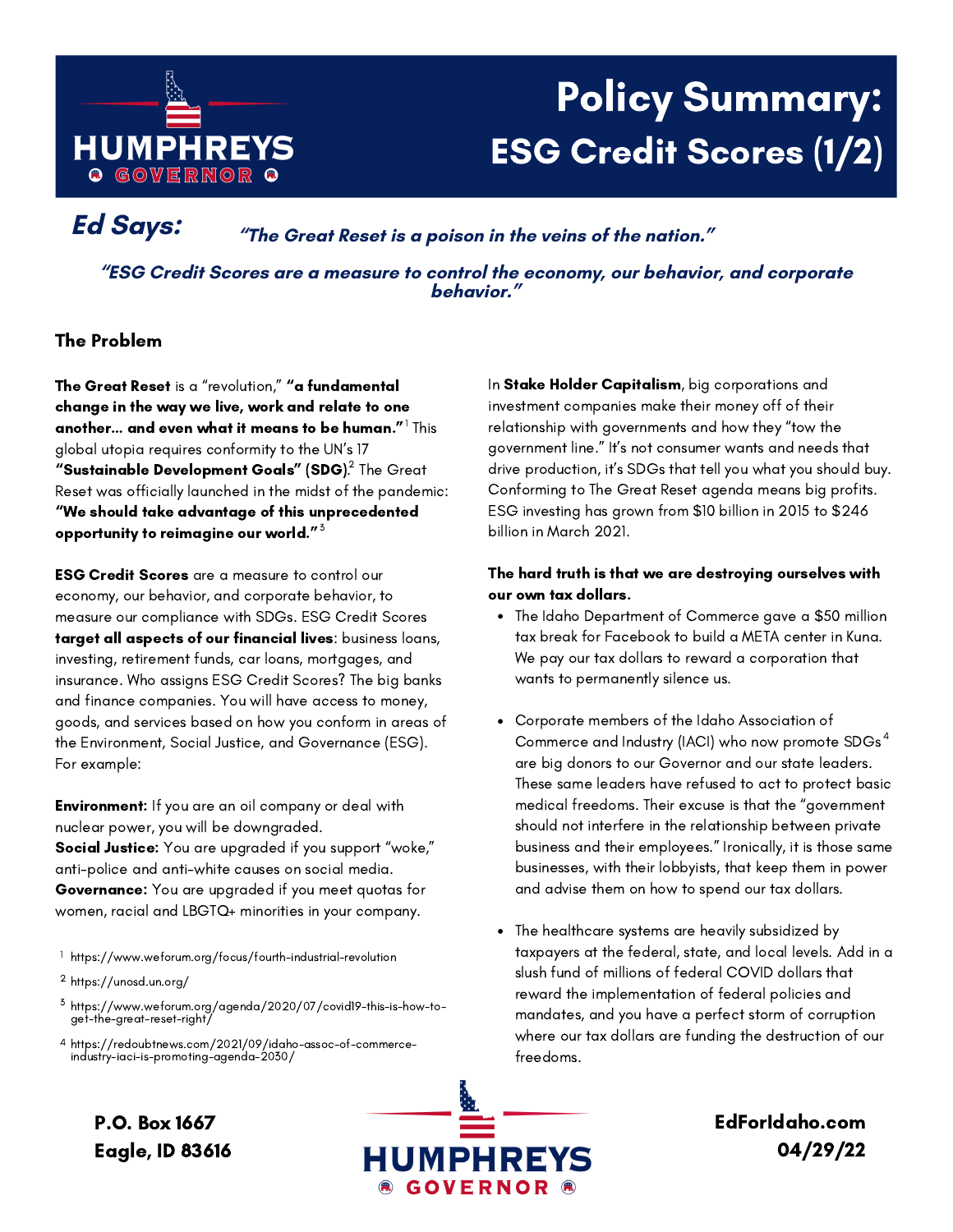

# Policy Summary: ESG Credit Scores (1/2)

**Ed Says: "The Great Reset is <sup>a</sup> poison in the veins of the nation."**

**"ESG Credit Scores are a measure to control the economy, our behavior, and corporate behavior."**

## The Problem

The Great Reset is a "revolution," "a fundamental change in the way we live, work and relate to one another... and even what it means to be human. $^{\prime\prime}$  This global utopia requires conformity to the UN's 17 **"Sustainable Development Goals" (SDG).** The Great Reset was officially launched in the midst of the pandemic: "We should take advantage of this unprecedented opportunity to reimagine our world."  $^{\rm 3}$ 

ESG Credit Scores are a measure to control our economy, our behavior, and corporate behavior, to measure our compliance with SDGs. ESG Credit Scores target all aspects of our financial lives: business loans, investing, retirement funds, car loans, mortgages, and insurance. Who assigns ESG Credit Scores? The big banks and finance companies. You will have access to money, goods, and services based on how you conform in areas of the Environment, Social Justice, and Governance (ESG). For example:

Environment: If you are an oil company or deal with nuclear power, you will be downgraded. Social Justice: You are upgraded if you support "woke," anti-police and anti-white causes on social media. Governance: You are upgraded if you meet quotas for women, racial and LBGTQ+ minorities in your company.

https://www.weforum.org/focus/fourth-industrial-revolution 1

https://www.weforum.org/agenda/2020/07/covid19-this-is-how-toget-the-great-reset-right/ 3

https://redoubtnews.com/2021/09/idaho-assoc-of-commerce-4 https://redoubtnews.com/2021/09/idaho<br>/industry-iaci-is-promoting-agenda-2030

In Stake Holder Capitalism, big corporations and investment companies make their money off of their relationship with governments and how they "tow the government line." It's not consumer wants and needs that drive production, it's SDGs that tell you what you should buy. Conforming to The Great Reset agenda means big profits. ESG investing has grown from \$10 billion in 2015 to \$246 billion in March 2021.

### The hard truth is that we are destroying ourselves with our own tax dollars.

- The Idaho Department of Commerce gave a \$50 million tax break for Facebook to build a META center in Kuna. We pay our tax dollars to reward a corporation that wants to permanently silence us.
- Corporate members of the Idaho Association of Commerce and Industry (IACI) who now promote SDGs  $^4$ are big donors to our Governor and our state leaders. These same leaders have refused to act to protect basic medical freedoms. Their excuse is that the "government should not interfere in the relationship between private business and their employees." Ironically, it is those same businesses, with their lobbyists, that keep them in power and advise them on how to spend our tax dollars.
- The healthcare systems are heavily subsidized by taxpayers at the federal, state, and local levels. Add in a slush fund of millions of federal COVID dollars that reward the implementation of federal policies and mandates, and you have a perfect storm of corruption where our tax dollars are funding the destruction of our freedoms.

P.O. Box 1667 Eagle, ID 83616



EdForIdaho.com 04/29/22

<sup>&</sup>lt;sup>2</sup> https://unosd.un.org/